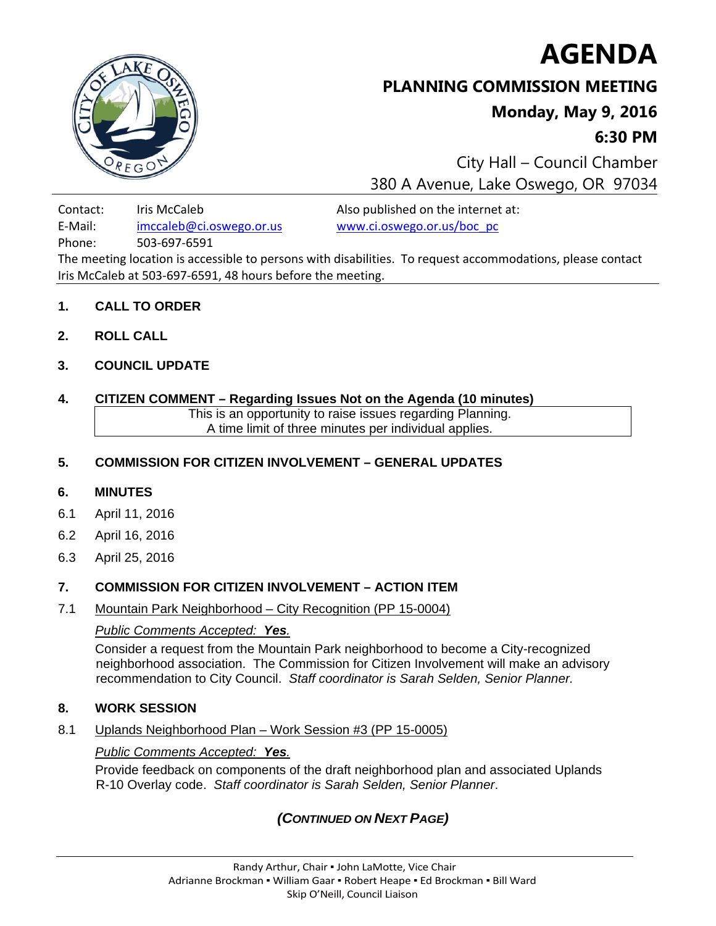



# **PLANNING COMMISSION MEETING**

# **Monday, May 9, 2016**

**6:30 PM**

 City Hall – Council Chamber 380 A Avenue, Lake Oswego, OR 97034

Contact: Iris McCaleb Also published on the internet at: E‐Mail: imccaleb@ci.oswego.or.us www.ci.oswego.or.us/boc\_pc

Phone: 503‐697‐6591

The meeting location is accessible to persons with disabilities. To request accommodations, please contact Iris McCaleb at 503‐697‐6591, 48 hours before the meeting.

#### **1. CALL TO ORDER**

**2. ROLL CALL** 

## **3. COUNCIL UPDATE**

#### **4. CITIZEN COMMENT – Regarding Issues Not on the Agenda (10 minutes)**

This is an opportunity to raise issues regarding Planning. A time limit of three minutes per individual applies.

## **5. COMMISSION FOR CITIZEN INVOLVEMENT – GENERAL UPDATES**

## **6. MINUTES**

- 6.1 April 11, 2016
- 6.2 April 16, 2016
- 6.3 April 25, 2016

## **7. COMMISSION FOR CITIZEN INVOLVEMENT – ACTION ITEM**

7.1 Mountain Park Neighborhood – City Recognition (PP 15-0004)

## *Public Comments Accepted: Yes.*

Consider a request from the Mountain Park neighborhood to become a City-recognized neighborhood association. The Commission for Citizen Involvement will make an advisory recommendation to City Council. *Staff coordinator is Sarah Selden, Senior Planner.*

## **8. WORK SESSION**

8.1 Uplands Neighborhood Plan – Work Session #3 (PP 15-0005)

#### *Public Comments Accepted: Yes.*

Provide feedback on components of the draft neighborhood plan and associated Uplands R-10 Overlay code. *Staff coordinator is Sarah Selden, Senior Planner*.

# *(CONTINUED ON NEXT PAGE)*